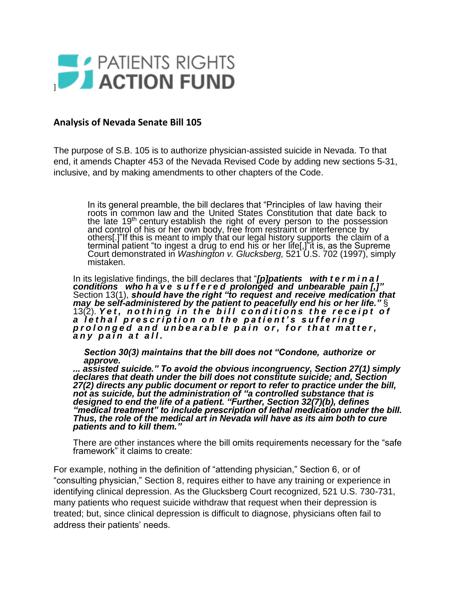

## **Analysis of Nevada Senate Bill 105**

The purpose of S.B. 105 is to authorize physician-assisted suicide in Nevada. To that end, it amends Chapter 453 of the Nevada Revised Code by adding new sections 5-31, inclusive, and by making amendments to other chapters of the Code.

In its general preamble, the bill declares that "Principles of law having their roots in common law and the United States Constitution that date back to the late 19<sup>th</sup> century establish the right of every person to the possession and control of his or her own body, free from restraint or interference by others[.]"If this is meant to imply that our legal history supports the claim of a terminal patient "to ingest a drug to end his or her life[,]"it is, as the Supreme Court demonstrated in *Washington v. Glucksberg,* 521 U.S. 702 (1997), simply mistaken.

In its legislative findings, the bill declares that "*[p]patients with t e r m i n a l conditions who h a v e s u f f e r e d prolonged and unbearable pain [,]"*  Section 13(1), *should have the right "to request and receive medication that may be self-administered by the patient to peacefully end his or her life."* § 13(2). Yet, nothing in the bill conditions the receipt of *a l e t h a l p r e s c r i p t i o n o n t h e p a t i e n t ' s s u f f e r i n g p r o l o n g e d a n d u n b e a r a b l e p a i n o r , f o r t h a t m a t t e r , a n y p a i n a t a l l .*

*Section 30(3) maintains that the bill does not "Condone, authorize or approve.*

*... assisted suicide." To avoid the obvious incongruency, Section 27(1) simply declares that death under the bill does not constitute suicide; and, Section 27(2) directs any public document or report to refer to practice under the bill, not as suicide, but the administration of "a controlled substance that is designed to end the life of a patient. "Further, Section 32(7)(b), defines "medical treatment" to include prescription of lethal medication under the bill. Thus, the role of the medical art in Nevada will have as its aim both to cure patients and to kill them."*

There are other instances where the bill omits requirements necessary for the "safe framework" it claims to create:

For example, nothing in the definition of "attending physician," Section 6, or of "consulting physician," Section 8, requires either to have any training or experience in identifying clinical depression. As the Glucksberg Court recognized, 521 U.S. 730-731, many patients who request suicide withdraw that request when their depression is treated; but, since clinical depression is difficult to diagnose, physicians often fail to address their patients' needs.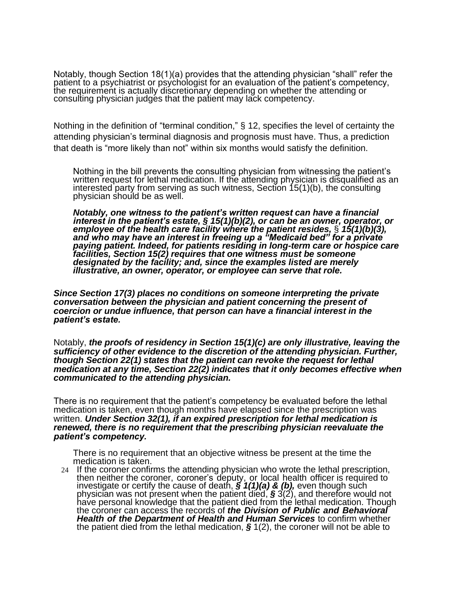Notably, though Section 18(1)(a) provides that the attending physician "shall" refer the patient to a psychiatrist or psychologist for an evaluation of the patient's competency, the requirement is actually discretionary depending on whether the attending or consulting physician judges that the patient may lack competency.

Nothing in the definition of "terminal condition," § 12, specifies the level of certainty the attending physician's terminal diagnosis and prognosis must have. Thus, a prediction that death is "more likely than not" within six months would satisfy the definition.

Nothing in the bill prevents the consulting physician from witnessing the patient's written request for lethal medication. If the attending physician is disqualified as an interested party from serving as such witness, Section 15(1)(b), the consulting physician should be as well.

*Notably, one witness to the patient's written request can have a financial interest in the patient's estate, § 15(1)(b)(2), or can be an owner, operator, or employee of the health care facility where the patient resides,* § *15(1)(b)(3), and who may have an interest in freeing up a "Medicaid bed" for a private paying patient. Indeed, for patients residing in long-term care or hospice care facilities, Section 15(2) requires that one witness must be someone designated by the facility; and, since the examples listed are merely illustrative, an owner, operator, or employee can serve that role.*

*Since Section 17(3) places no conditions on someone interpreting the private conversation between the physician and patient concerning the present of coercion or undue influence, that person can have a financial interest in the patient's estate.* 

Notably, *the proofs of residency in Section 15(1)(c) are only illustrative, leaving the sufficiency of other evidence to the discretion of the attending physician. Further, though Section 22(1) states that the patient can revoke the request for lethal medication at any time, Section 22(2) indicates that it only becomes effective when communicated to the attending physician.*

There is no requirement that the patient's competency be evaluated before the lethal medication is taken, even though months have elapsed since the prescription was written. *Under Section 32(1), if an expired prescription for lethal medication is renewed, there is no requirement that the prescribing physician reevaluate the patient's competency.* 

There is no requirement that an objective witness be present at the time the medication is taken.

24 If the coroner confirms the attending physician who wrote the lethal prescription, then neither the coroner, coroner's deputy, or local health officer is required to investigate or certify the cause of death, *§ 1(1)(a) & (b),* even though such physician was not present when the patient died, *§* 3(2), and therefore would not have personal knowledge that the patient died from the lethal medication. Though the coroner can access the records of *the Division of Public and Behavioral Health of the Department of Health and Human Services* to confirm whether the patient died from the lethal medication, *§* 1(2), the coroner will not be able to